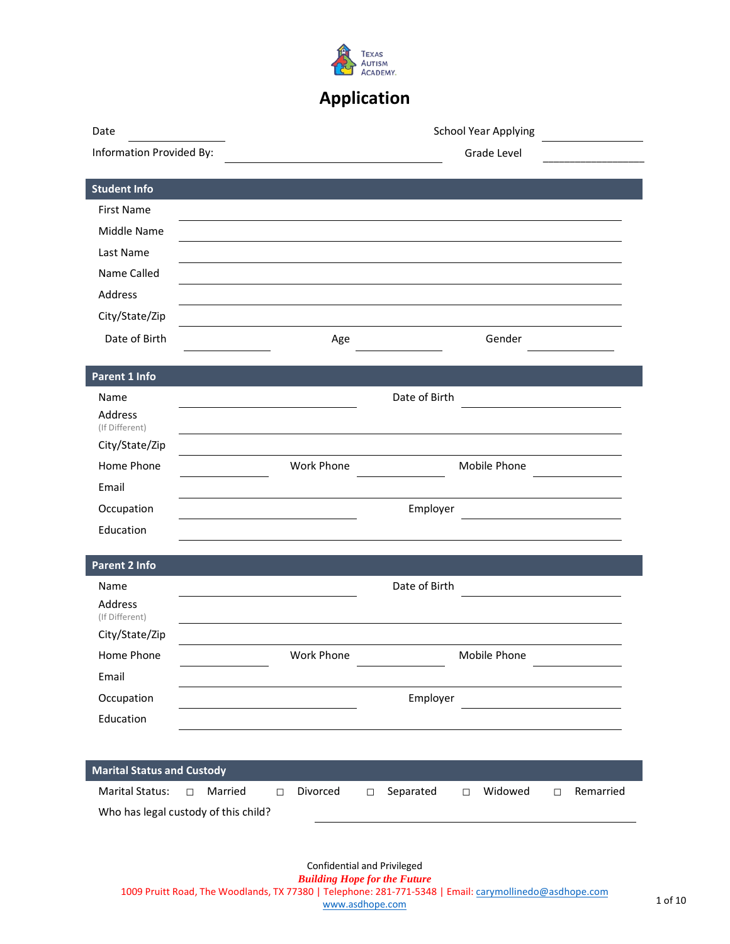

# **Application**

| Date                                 |                   | School Year Applying |                     |                   |                     |
|--------------------------------------|-------------------|----------------------|---------------------|-------------------|---------------------|
| Information Provided By:             |                   |                      |                     | Grade Level       |                     |
|                                      |                   |                      |                     |                   |                     |
| <b>Student Info</b>                  |                   |                      |                     |                   |                     |
| <b>First Name</b>                    |                   |                      |                     |                   |                     |
| Middle Name                          |                   |                      |                     |                   |                     |
| Last Name                            |                   |                      |                     |                   |                     |
| Name Called                          |                   |                      |                     |                   |                     |
| Address                              |                   |                      |                     |                   |                     |
| City/State/Zip                       |                   |                      |                     |                   |                     |
| Date of Birth                        |                   | Age                  |                     | Gender            |                     |
|                                      |                   |                      |                     |                   |                     |
| Parent 1 Info                        |                   |                      |                     |                   |                     |
| Name                                 |                   |                      | Date of Birth       |                   |                     |
| Address<br>(If Different)            |                   |                      |                     |                   |                     |
| City/State/Zip                       |                   |                      |                     |                   |                     |
| Home Phone                           |                   | Work Phone           |                     | Mobile Phone      |                     |
| Email                                |                   |                      |                     |                   |                     |
| Occupation                           |                   |                      | Employer            |                   |                     |
| Education                            |                   |                      |                     |                   |                     |
|                                      |                   |                      |                     |                   |                     |
| <b>Parent 2 Info</b>                 |                   |                      |                     |                   |                     |
| Name                                 |                   |                      | Date of Birth       |                   |                     |
| Address<br>(If Different)            |                   |                      |                     |                   |                     |
| City/State/Zip                       |                   |                      |                     |                   |                     |
| Home Phone                           |                   | Work Phone           |                     | Mobile Phone      |                     |
| Email                                |                   |                      |                     |                   |                     |
| Occupation                           |                   |                      | Employer            |                   |                     |
| Education                            |                   |                      |                     |                   |                     |
|                                      |                   |                      |                     |                   |                     |
|                                      |                   |                      |                     |                   |                     |
| <b>Marital Status and Custody</b>    |                   |                      |                     |                   |                     |
| <b>Marital Status:</b>               | Married<br>$\Box$ | Divorced<br>$\Box$   | Separated<br>$\Box$ | Widowed<br>$\Box$ | Remarried<br>$\Box$ |
| Who has legal custody of this child? |                   |                      |                     |                   |                     |
|                                      |                   |                      |                     |                   |                     |
|                                      |                   |                      |                     |                   |                     |

Confidential and Privileged *Building Hope for the Future*  1009 Pruitt Road, The Woodlands, TX 77380 | Telephone: 281-771-5348 | Email: carymollinedo[@asdhope.co](mailto:janewalls@asdhope.com)m www.aschope.com 1 of 10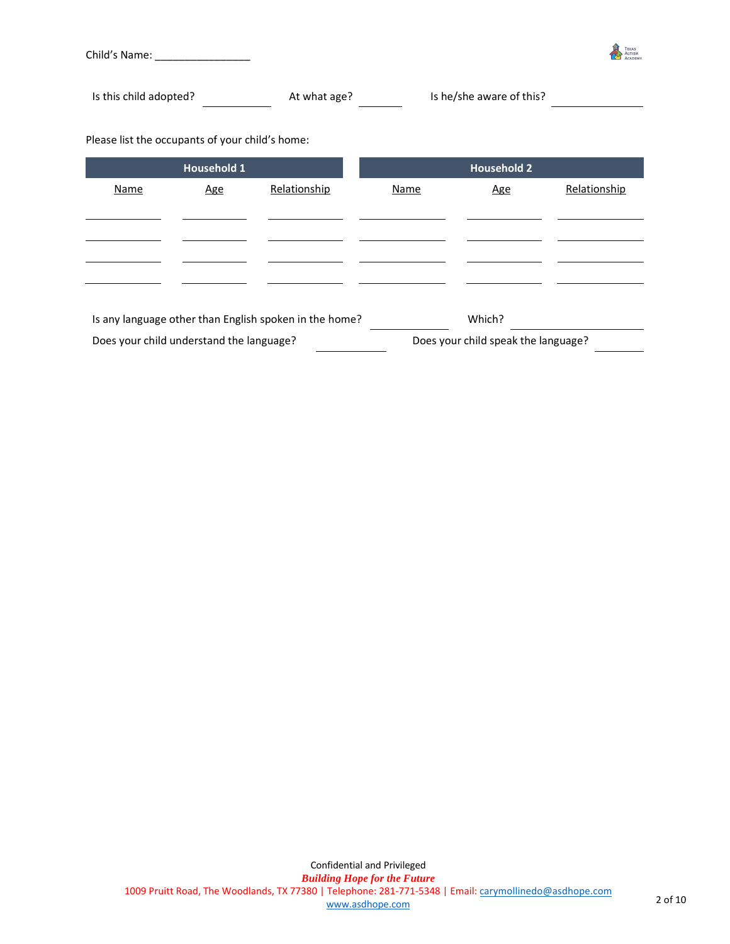

Is this child adopted? At what age? Is he/she aware of this?

Please list the occupants of your child's home:

| <b>Household 1</b>                       |            |                                                        | <b>Household 2</b> |                                     |              |
|------------------------------------------|------------|--------------------------------------------------------|--------------------|-------------------------------------|--------------|
| Name                                     | <u>Age</u> | Relationship                                           | Name               | <b>Age</b>                          | Relationship |
|                                          |            |                                                        |                    |                                     |              |
|                                          |            |                                                        |                    |                                     |              |
|                                          |            |                                                        |                    |                                     |              |
|                                          |            |                                                        |                    |                                     |              |
|                                          |            |                                                        |                    |                                     |              |
|                                          |            | Is any language other than English spoken in the home? |                    | Which?                              |              |
| Does your child understand the language? |            |                                                        |                    | Does your child speak the language? |              |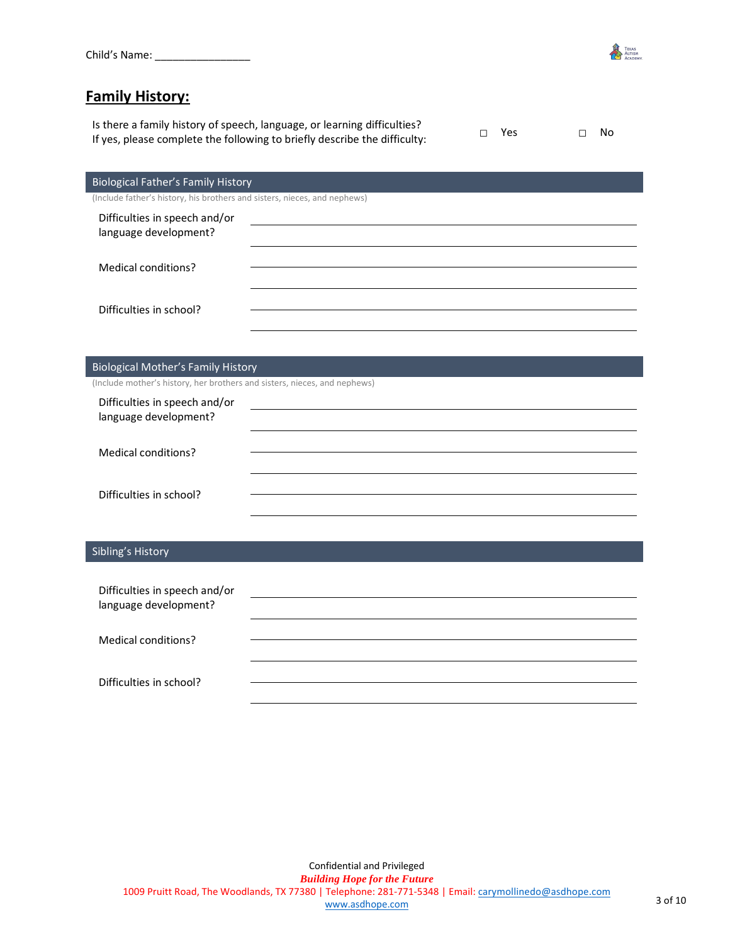

### **Family History:**

Is there a family history of speech, language, or learning difficulties? If yes, please complete the following to briefly describe the difficulty: □ Yes □ No

| $\Box$ Yes |  | $\Box$ No |
|------------|--|-----------|
|            |  |           |

| Biological Father's Family History |  |  |
|------------------------------------|--|--|
|                                    |  |  |

(Include father's history, his brothers and sisters, nieces, and nephews)

| Difficulties in speech and/or<br>language development? |  |
|--------------------------------------------------------|--|
| Medical conditions?                                    |  |
| Difficulties in school?                                |  |

#### Biological Mother's Family History

(Include mother's history, her brothers and sisters, nieces, and nephews)

| Difficulties in speech and/or<br>language development? |  |
|--------------------------------------------------------|--|
| Medical conditions?                                    |  |
| Difficulties in school?                                |  |

#### Sibling's History

| Difficulties in speech and/or<br>language development? |  |
|--------------------------------------------------------|--|
| Medical conditions?                                    |  |
| Difficulties in school?                                |  |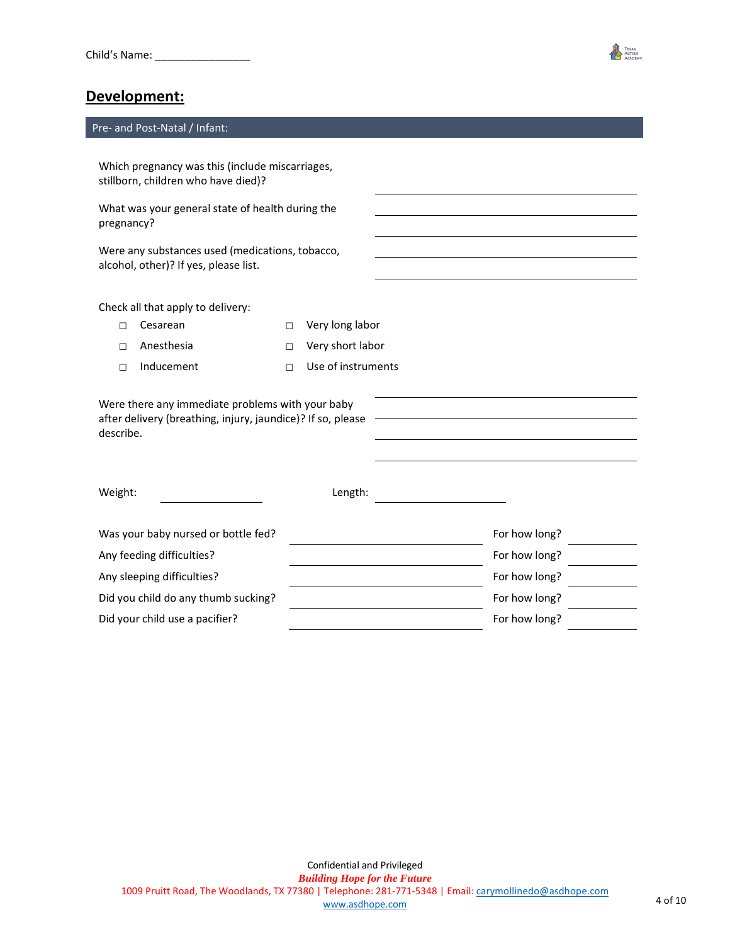

#### Pre- and Post-Natal / Infant:

Which pregnancy was this (include miscarriages, stillborn, children who have died)?

What was your general state of health during the pregnancy?

Were any substances used (medications, tobacco, alcohol, other)? If yes, please list.

Check all that apply to delivery:

- □ Very long labor
- 
- □ Anesthesia □ Very short labor
- □ Inducement □ Use of instruments

| Were there any immediate problems with your baby<br>after delivery (breathing, injury, jaundice)? If so, please<br>describe. |         |               |  |
|------------------------------------------------------------------------------------------------------------------------------|---------|---------------|--|
| Weight:                                                                                                                      | Length: |               |  |
| Was your baby nursed or bottle fed?                                                                                          |         | For how long? |  |
| Any feeding difficulties?                                                                                                    |         | For how long? |  |
| Any sleeping difficulties?                                                                                                   |         | For how long? |  |
| Did you child do any thumb sucking?                                                                                          |         | For how long? |  |
| Did your child use a pacifier?                                                                                               |         | For how long? |  |

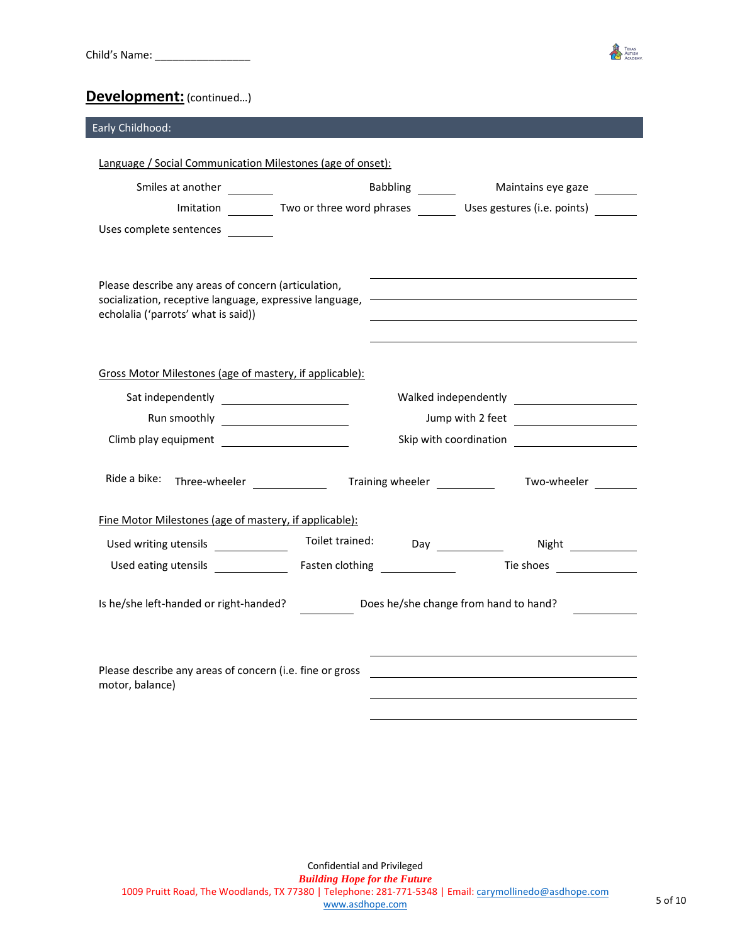

### **Development:** (continued…)

| Early Childhood:                                                                                                                                        |                                                                                        |
|---------------------------------------------------------------------------------------------------------------------------------------------------------|----------------------------------------------------------------------------------------|
| Language / Social Communication Milestones (age of onset):                                                                                              |                                                                                        |
|                                                                                                                                                         |                                                                                        |
| Smiles at another ________                                                                                                                              | Babbling _________ Maintains eye gaze                                                  |
|                                                                                                                                                         | Imitation __________ Two or three word phrases ____________Uses gestures (i.e. points) |
| Uses complete sentences                                                                                                                                 |                                                                                        |
|                                                                                                                                                         |                                                                                        |
| Please describe any areas of concern (articulation,<br>socialization, receptive language, expressive language, -<br>echolalia ('parrots' what is said)) |                                                                                        |
| Gross Motor Milestones (age of mastery, if applicable):                                                                                                 |                                                                                        |
|                                                                                                                                                         |                                                                                        |
|                                                                                                                                                         | Jump with 2 feet                                                                       |
|                                                                                                                                                         |                                                                                        |
|                                                                                                                                                         | Two-wheeler                                                                            |
| Fine Motor Milestones (age of mastery, if applicable):                                                                                                  |                                                                                        |
| Toilet trained:<br>Used writing utensils _____________                                                                                                  | Day Night Night                                                                        |
|                                                                                                                                                         |                                                                                        |
| Is he/she left-handed or right-handed?                                                                                                                  | Does he/she change from hand to hand?                                                  |
| Please describe any areas of concern (i.e. fine or gross<br>motor, balance)                                                                             |                                                                                        |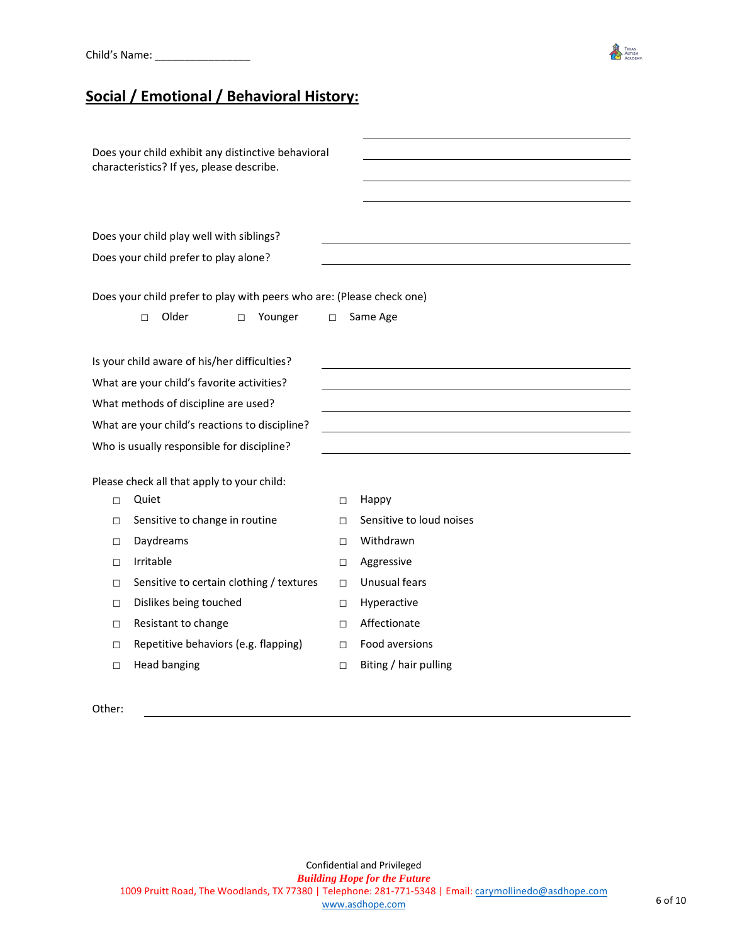

## **Social / Emotional / Behavioral History:**

| Does your child exhibit any distinctive behavioral<br>characteristics? If yes, please describe. |                                                                       |        |                          |  |
|-------------------------------------------------------------------------------------------------|-----------------------------------------------------------------------|--------|--------------------------|--|
|                                                                                                 |                                                                       |        |                          |  |
|                                                                                                 |                                                                       |        |                          |  |
|                                                                                                 | Does your child play well with siblings?                              |        |                          |  |
|                                                                                                 | Does your child prefer to play alone?                                 |        |                          |  |
|                                                                                                 |                                                                       |        |                          |  |
|                                                                                                 | Does your child prefer to play with peers who are: (Please check one) |        |                          |  |
|                                                                                                 | Older<br>Younger<br>$\Box$<br>$\Box$                                  | $\Box$ | Same Age                 |  |
|                                                                                                 |                                                                       |        |                          |  |
|                                                                                                 | Is your child aware of his/her difficulties?                          |        |                          |  |
|                                                                                                 | What are your child's favorite activities?                            |        |                          |  |
|                                                                                                 | What methods of discipline are used?                                  |        |                          |  |
| What are your child's reactions to discipline?                                                  |                                                                       |        |                          |  |
|                                                                                                 | Who is usually responsible for discipline?                            |        |                          |  |
|                                                                                                 |                                                                       |        |                          |  |
|                                                                                                 | Please check all that apply to your child:                            |        |                          |  |
| П                                                                                               | Quiet                                                                 | П      | Happy                    |  |
| $\Box$                                                                                          | Sensitive to change in routine                                        | $\Box$ | Sensitive to loud noises |  |
| П                                                                                               | Daydreams                                                             | П      | Withdrawn                |  |
| П                                                                                               | Irritable                                                             | $\Box$ | Aggressive               |  |
| П                                                                                               | Sensitive to certain clothing / textures                              | П      | Unusual fears            |  |
| □                                                                                               | Dislikes being touched                                                | $\Box$ | Hyperactive              |  |
| П                                                                                               | Resistant to change                                                   | $\Box$ | Affectionate             |  |
| П                                                                                               | Repetitive behaviors (e.g. flapping)                                  | П      | Food aversions           |  |
| П                                                                                               | <b>Head banging</b>                                                   | $\Box$ | Biting / hair pulling    |  |
|                                                                                                 |                                                                       |        |                          |  |

Other: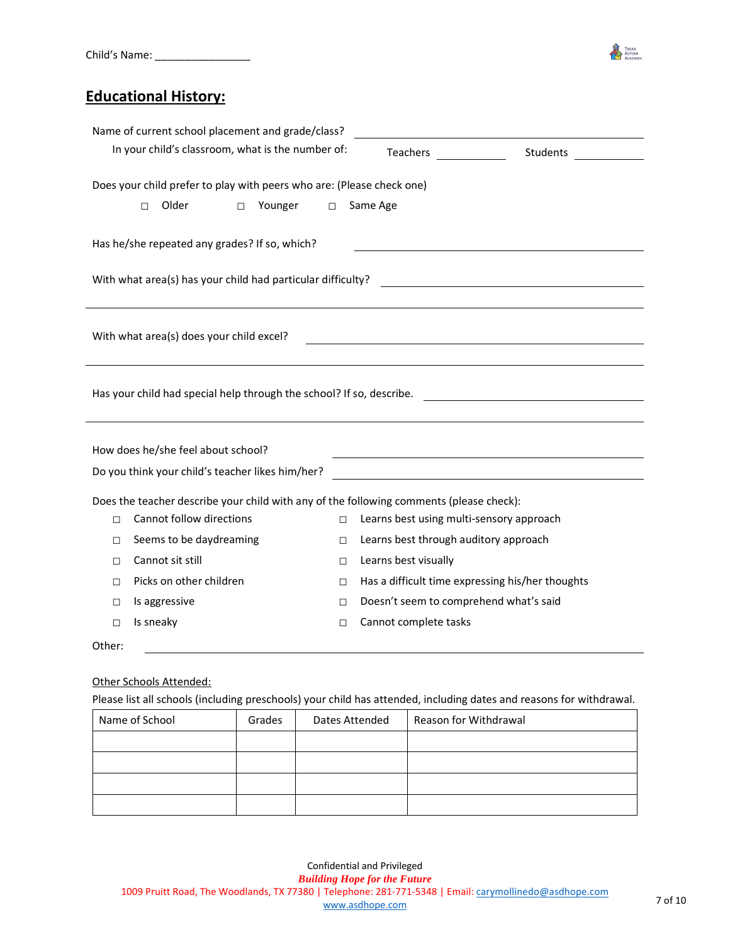

### **Educational History:**

|                                                                                         | Name of current school placement and grade/class? |  |  |  |  |
|-----------------------------------------------------------------------------------------|---------------------------------------------------|--|--|--|--|
| In your child's classroom, what is the number of:                                       | Teachers<br>Students                              |  |  |  |  |
| Does your child prefer to play with peers who are: (Please check one)                   |                                                   |  |  |  |  |
| Older<br>Younger<br>П<br>$\Box$<br>□                                                    | Same Age                                          |  |  |  |  |
| Has he/she repeated any grades? If so, which?                                           |                                                   |  |  |  |  |
| With what area(s) has your child had particular difficulty?                             |                                                   |  |  |  |  |
|                                                                                         |                                                   |  |  |  |  |
| With what area(s) does your child excel?                                                |                                                   |  |  |  |  |
| Has your child had special help through the school? If so, describe.                    |                                                   |  |  |  |  |
|                                                                                         |                                                   |  |  |  |  |
| How does he/she feel about school?                                                      |                                                   |  |  |  |  |
| Do you think your child's teacher likes him/her?                                        |                                                   |  |  |  |  |
| Does the teacher describe your child with any of the following comments (please check): |                                                   |  |  |  |  |
| Cannot follow directions<br>$\Box$<br>$\Box$                                            | Learns best using multi-sensory approach          |  |  |  |  |
| Seems to be daydreaming<br>П<br>□                                                       | Learns best through auditory approach             |  |  |  |  |
| Cannot sit still<br>$\Box$<br>П                                                         | Learns best visually                              |  |  |  |  |
| Picks on other children<br>$\Box$<br>П                                                  | Has a difficult time expressing his/her thoughts  |  |  |  |  |
| Is aggressive<br>$\Box$<br>$\Box$                                                       | Doesn't seem to comprehend what's said            |  |  |  |  |
| Is sneaky<br>П<br>$\Box$                                                                | Cannot complete tasks                             |  |  |  |  |
| Other:                                                                                  |                                                   |  |  |  |  |

#### Other Schools Attended:

Please list all schools (including preschools) your child has attended, including dates and reasons for withdrawal.

| Name of School | Grades | Dates Attended | Reason for Withdrawal |
|----------------|--------|----------------|-----------------------|
|                |        |                |                       |
|                |        |                |                       |
|                |        |                |                       |
|                |        |                |                       |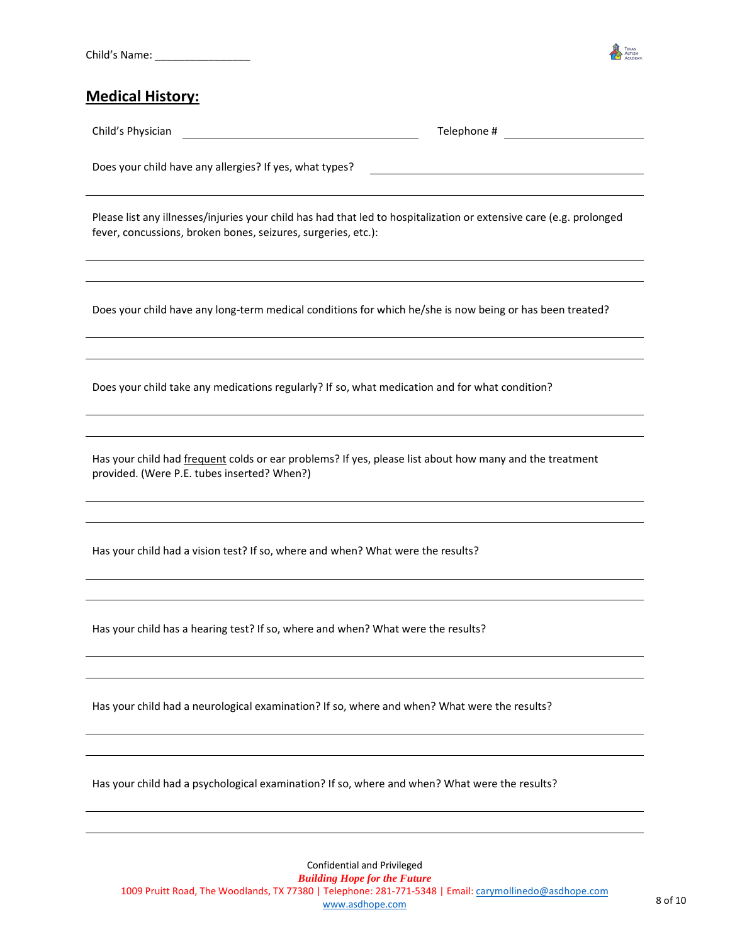

#### **Medical History:**

Child's Physician Telephone #

Does your child have any allergies? If yes, what types?

Please list any illnesses/injuries your child has had that led to hospitalization or extensive care (e.g. prolonged fever, concussions, broken bones, seizures, surgeries, etc.):

Does your child have any long-term medical conditions for which he/she is now being or has been treated?

Does your child take any medications regularly? If so, what medication and for what condition?

Has your child had *frequent* colds or ear problems? If yes, please list about how many and the treatment provided. (Were P.E. tubes inserted? When?)

Has your child had a vision test? If so, where and when? What were the results?

Has your child has a hearing test? If so, where and when? What were the results?

Has your child had a neurological examination? If so, where and when? What were the results?

Has your child had a psychological examination? If so, where and when? What were the results?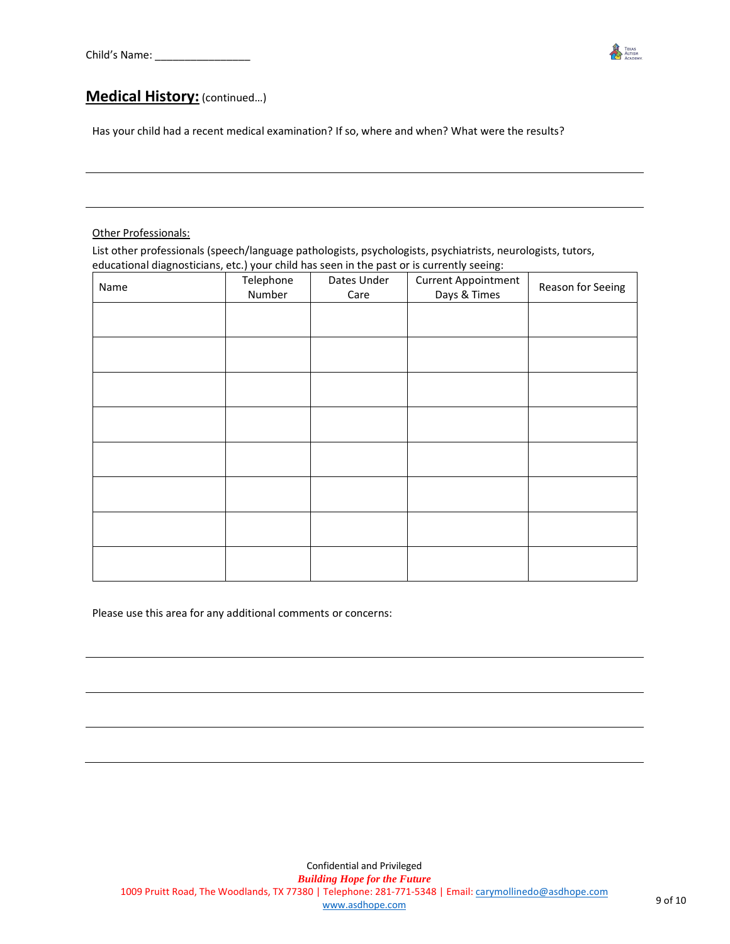

#### **Medical History:** (continued…)

Has your child had a recent medical examination? If so, where and when? What were the results?

#### Other Professionals:

List other professionals (speech/language pathologists, psychologists, psychiatrists, neurologists, tutors, educational diagnosticians, etc.) your child has seen in the past or is currently seeing:

| Name | . .<br>Telephone<br>Number | Dates Under<br>Care | <b>Current Appointment</b><br>Days & Times | Reason for Seeing |
|------|----------------------------|---------------------|--------------------------------------------|-------------------|
|      |                            |                     |                                            |                   |
|      |                            |                     |                                            |                   |
|      |                            |                     |                                            |                   |
|      |                            |                     |                                            |                   |
|      |                            |                     |                                            |                   |
|      |                            |                     |                                            |                   |
|      |                            |                     |                                            |                   |
|      |                            |                     |                                            |                   |

Please use this area for any additional comments or concerns: